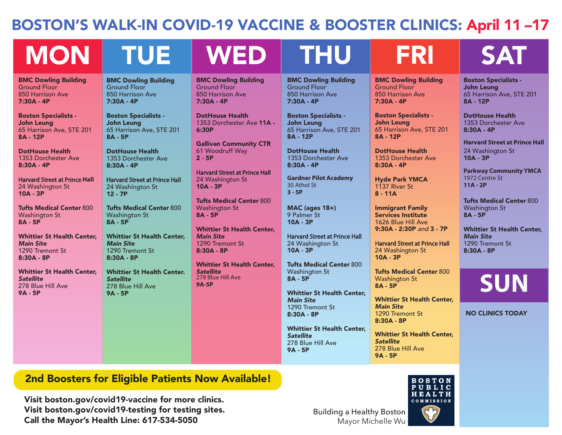## BOSTON'S WALK-IN COVID-19 VACCINE & BOOSTER CLINICS: April 11 –17

BMC Dowling Building

1353 Dorchester Ave 11A -

Gallivan Community CTR 61 Woodruff Way

Harvard Street at Prince Hall 24 Washington St

Tufts Medical Center 800

Whittier St Health Center,

Whittier St Health Center,

Ground Floor 850 Harrison Ave 7:30A - 4P

6:30P

2 - 5P

10A - 3P

*Main Site* 1290 Tremont St 8:30A - 8P

*Satellite*  278 Blue Hill Ave

**9A-5P**

Washington St 8A - 5P

DotHouse Health

# MON TUE WED THU FRI SAT

BMC Dowling Building Ground Floor 850 Harrison Ave 7:30A - 4P

Boston Specialists - John Leung 65 Harrison Ave, STE 201 8A - 12P

DotHouse Health 1353 Dorchester Ave 8:30A - 4P

Harvard Street at Prince **Hall** 24 Washington St 10A - 3P

Tufts Medical Center 800 Washington St 8A - 5P

Whittier St Health Center, *Main Site* 1290 Tremont St 8:30A - 8P

Whittier St Health Center, *Satellite*  278 Blue Hill Ave 9A - 5P

BMC Dowling Building Ground Floor 850 Harrison Ave 7:30A - 4P

Boston Specialists - John Leung 65 Harrison Ave, STE 201 8A - 5P

DotHouse Health 1353 Dorchester Ave 8:30A - 4P

Harvard Street at Prince Hall 24 Washington St 12 - 7P

Tufts Medical Center 800 Washington St 8A - 5P

Whittier St Health Center, *Main Site* 1290 Tremont St 8:30A - 8P

Whittier St Health Center. *Satellite* 278 Blue Hill Ave 9A - 5P

BMC Dowling Building Ground Floor 850 Harrison Ave 7:30A - 4P

> Boston Specialists - John Leung 65 Harrison Ave, STE 201 8A - 12P

DotHouse Health 1353 Dorchester Ave 8:30A - 4P

**Gardner Pilot Academy** 30 Athol St **3 - 5P**

MAC (ages 18+) 9 Palmer St 10A - 3P

Harvard Street at Prince Hall 24 Washington St 10A - 3P

Tufts Medical Center 800 Washington St 8A - 5P

Whittier St Health Center, *Main Site* 1290 Tremont St 8:30A - 8P

Whittier St Health Center, *Satellite*  278 Blue Hill Ave 9A - 5P

BMC Dowling Building Ground Floor 850 Harrison Ave 7:30A - 4P

Boston Specialists - John Leung 65 Harrison Ave, STE 201 8A - 12P

DotHouse Health 1353 Dorchester Ave 8:30A - 4P

Hyde Park YMCA 1137 River St 8 - 11A

Immigrant Family Services Institute 1626 Blue Hill Ave 9:30A - 2:30P *and* 3 - 7P

Harvard Street at Prince Hall 24 Washington St 10A - 3P

Tufts Medical Center 800 Washington St 8A - 5P

Whittier St Health Center, *Main Site* 1290 Tremont St 8:30A - 8P

Whittier St Health Center, *Satellite*  278 Blue Hill Ave 9A - 5P

Boston Specialists - John Leung 65 Harrison Ave, STE 201 8A - 12P

DotHouse Health 1353 Dorchester Ave 8:30A - 4P

**Harvard Street at Prince Hall**  24 Washington St 10A - 3P

**Parkway Community YMCA** 1972 Centre St **11A - 2P**

Tufts Medical Center 800 Washington St 8A - 5P

Whittier St Health Center, *Main Site* 1290 Tremont St 8:30A - 8P

**SUN**

NO CLINICS TODAY

## 2nd Boosters for Eligible Patients Now Available!

Visit boston.gov/covid19-vaccine for more clinics. Visit boston.gov/covid19-testing for testing sites. Call the Mayor's Health Line: 617-534-5050